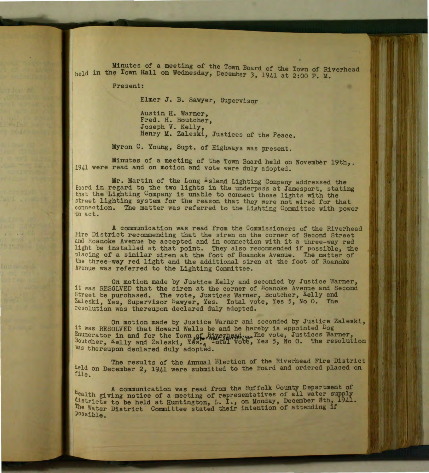Minutes of a meeting of the Town Board of the Town of Riverhead held in the Town Hall on Wednesday, December 3, 1941 at 2:00 P. M.

Present:

Elmer J. B. Sawyer, Supervisor

Austin H. Warner, Fred. H. Boutcher, Joseph V. Kelly, Henry M. Zaleski, Justices of the Peace.

Myron C. Young, Supt. of Highways was present.

Minutes of a meeting of the Town Board held on November 19th,.<br>1941 were read and on motion and vote were duly adopted.

Mr. Martin of the Long -sland Lighting Company addressed the Board in regard to the two lights in the underpass at Jamesport, stating that the Lighting Company is unable to connect those lights with the street lighting system for the reason that they were not wired for that connec tion. The matter was referred to the Lighting Committee with power to act.

A communication was read from the Commissioners of the Riverhead Fire District recommending that the siren on the corner of Second Street and Roanoke Avenue be accepted and in connection with it a three-way red light be installed at that point. They also recommended if possible, the placing of a similar siren at the foot of Roanoke Avenue. The matter of the three-way red light and the additional siren at the foot of Roanoke Avenue was referred to the Lighting Committee.

On motion made by Justice Kelly and seconded by Justice Warner, it was RESOLVED that the siren at the corner of Hoanoke Avenue and Second Street be purchased. The vote, Justices Warner, Boutcher, Kelly and Zaleski, Yes, Supervisor Sawyer, Yes. Total vote, Yes 5, No 0. The resolution was thereupon declared duly adopted.

On motion made by Justice Warner and seconded by Justice Zaleski, it was RESOLVED that Howard Wells be and he hereby is appointed Dog Enumerator in and for the Town of Riverhead..... The vote, Justices Warner, Boutcher, Kelly and Zaleski, Yes., Total Vote, Yes 5, No 0. The resolution Was thereupon declared duly adopted.

The results of the Annual Election of the Riverhead Fire District held on December 2, 1941 were submitted to the Board and ordered placed on file.

A communication was read from the Suffolk County Department of Health giving notice of a meeting of representatives of all water supply districts to be held at Huntington, L. I., on Monday, December 8th, 1941. The Water District Committee stated their intention of attending if Possible.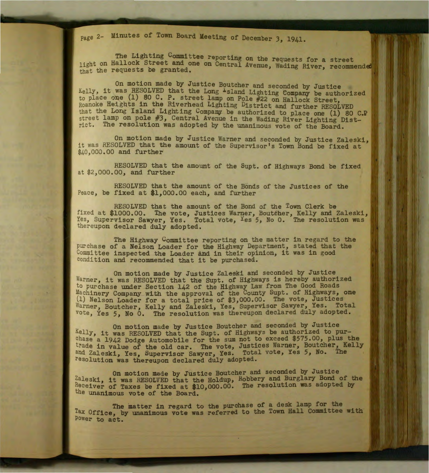page 2- Minutes of Town Board Meeting of December 3, 1941 •

The Lighting Committee reporting on the requests for a street light on Hallock Street and one on Central Avenue, Wading River, recommende that the requests be granted.  $\frac{1}{2}$  is contrained.

On motion made by Justice Boutcher and seconded by Justice Kelly, it was RESOLVED that the Long -sland Lighting Company be authorized to place one (1) 80 C. P. street lamp on Pole #22 on Hallock Street Roanoke Heights in the Riverhead Lighting District and further RESOLVED that the Long Island Lighting Company be authorized to place one (1) 80 C.P. street lamp on pole #3, Central Avenue in the Wading River Lighting District. The resolution was adopted by the unanimous vote of the Board.

On motion made by Justice Warner and seconded by Justice Zaleski, it was RESOLVED that the amount of the Supervisor's Town Bond be fixed at \$40,000.00 and further

RESOLVED that the amount of the Supt. of Highways Bond be fixed at \$2,000 .00, and further

RESOLVED that the amount of the Bonds of the Justices of the Peace, be fixed at \$1,000.00 each, and further

RESOLVED that the amount of the Bond of the Town Clerk be fixed at \$1000.00. The vote, Justices Warner, Boutcher, Kelly and Zaleski, Yes, Supervisor Sawyer, Yes. Total vote, Yes 5, No 0. The resolution was thereupon declared duly adopted.

The Highway Committee reporting on the matter in regard to the purchase of a Nelson Loader for the Highway Department, stated that the Committee inspected the Loader and in their opinion, it was in good condition and recommended that it be purchased.

On motion made by Justice Zaleski and seconded by Justice Warner, it was RESOLVED that the Supt. of Highways is hereby authorized to purchase under Section 142 of the Highway Law from The Good Roads Machinery Company with the approval of the County Supt. of Highways, one (1) Nelson Loader for a total price of \$3,000.00. The vote, Justices Warner, Boutcher, Kelly and Zaleski, Yes, Supervisor Sawyer, Yes. Total vote, Yes 5, No 0. The resolution was thereupon declared duly adopted.

On motion made by Justice Boutcher and seconded by Justice Kelly, it was RESOLVED that the Supt. of Highways be authorized to purchase a 1942 Dodge Automobile for the sum not to exceed \$575.00, plus the trade in value of the old car. The vote, Justices Warner, Boutcher, Kelly and Zaleski, Yes, Supervisor Sawyer, Yes. Total vote, Yes 5, No. The resolution was thereupon declared duly adopted.

On motion made by Justice Boutcher and seconded by Justice Zaleski, it was RESOLVED that the Holdup, Robbery and Burglary Bond of the Receiver of Taxes be fixed at \$10,000.00. The resolution was adopted by the unanimous vote of the Board.

The matter in regard to the purchase of a desk lamp for the Tax Office, by unanimous vote was referred to the Town Hall Committee with Power to act.